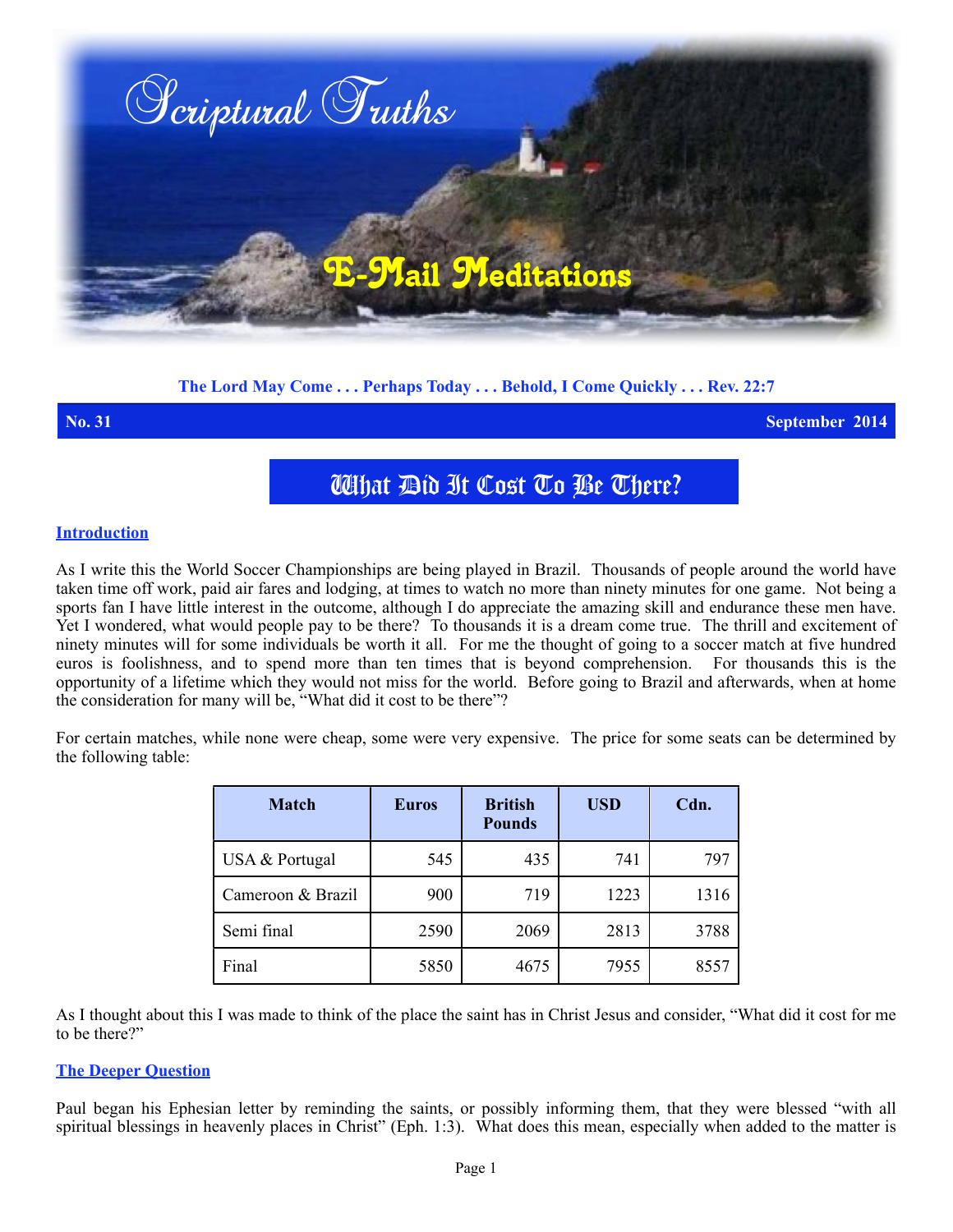

# **The Lord May Come . . . Perhaps Today . . . Behold, I Come Quickly . . . Rev. 22:7**

**No. 31 September 2014**

# What Did It Cost To Be There?

### **Introduction**

As I write this the World Soccer Championships are being played in Brazil. Thousands of people around the world have taken time off work, paid air fares and lodging, at times to watch no more than ninety minutes for one game. Not being a sports fan I have little interest in the outcome, although I do appreciate the amazing skill and endurance these men have. Yet I wondered, what would people pay to be there? To thousands it is a dream come true. The thrill and excitement of ninety minutes will for some individuals be worth it all. For me the thought of going to a soccer match at five hundred euros is foolishness, and to spend more than ten times that is beyond comprehension. For thousands this is the opportunity of a lifetime which they would not miss for the world. Before going to Brazil and afterwards, when at home the consideration for many will be, "What did it cost to be there"?

For certain matches, while none were cheap, some were very expensive. The price for some seats can be determined by the following table:

| <b>Match</b>      | <b>Euros</b> | <b>British</b><br><b>Pounds</b> | <b>USD</b> | Cdn. |
|-------------------|--------------|---------------------------------|------------|------|
| USA & Portugal    | 545          | 435                             | 741        | 797  |
| Cameroon & Brazil | 900          | 719                             | 1223       | 1316 |
| Semi final        | 2590         | 2069                            | 2813       | 3788 |
| Final             | 5850         | 4675                            | 7955       | 8557 |

As I thought about this I was made to think of the place the saint has in Christ Jesus and consider, "What did it cost for me to be there?"

#### **The Deeper Question**

Paul began his Ephesian letter by reminding the saints, or possibly informing them, that they were blessed "with all spiritual blessings in heavenly places in Christ" (Eph. 1:3). What does this mean, especially when added to the matter is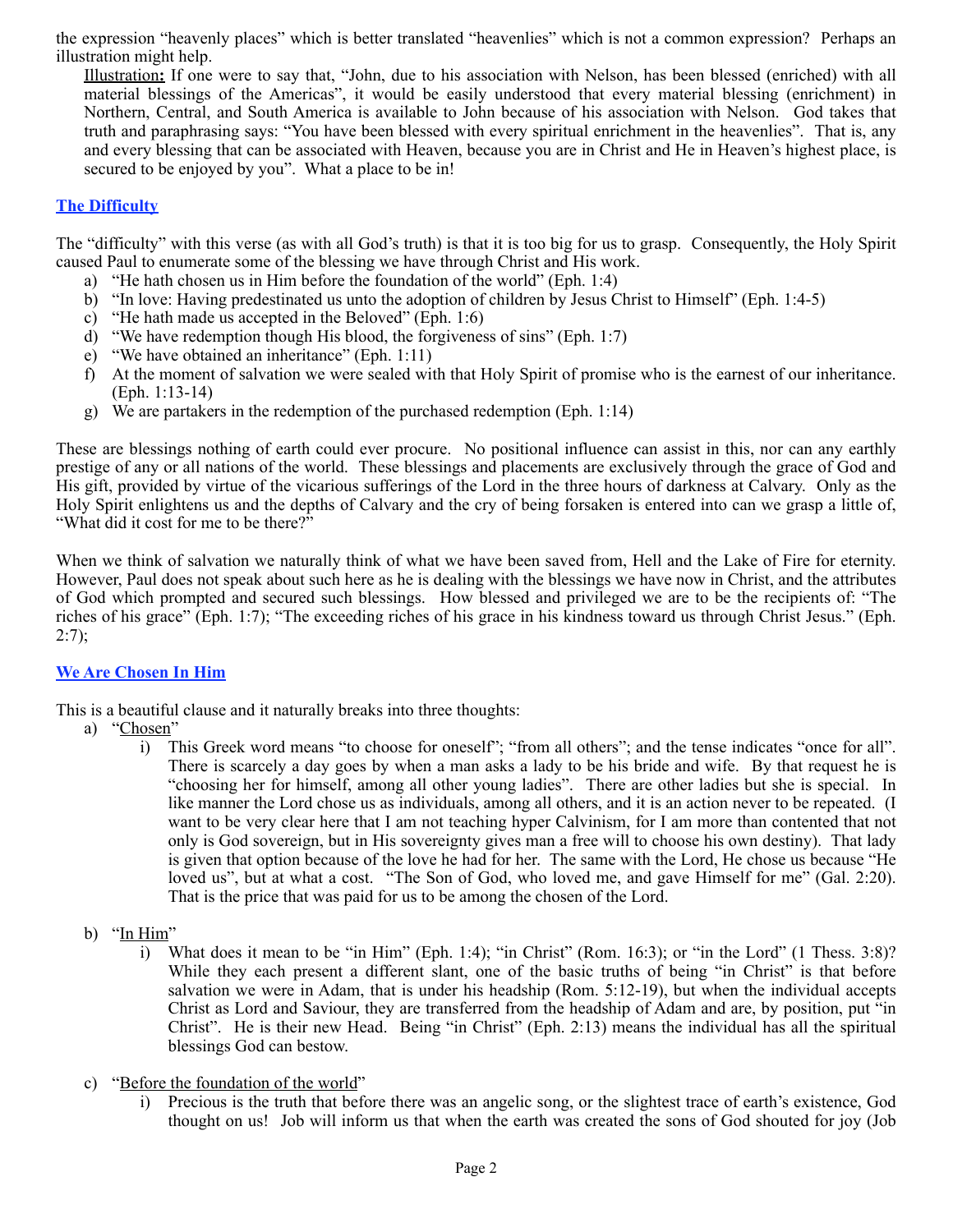the expression "heavenly places" which is better translated "heavenlies" which is not a common expression? Perhaps an illustration might help.

Illustration**:** If one were to say that, "John, due to his association with Nelson, has been blessed (enriched) with all material blessings of the Americas", it would be easily understood that every material blessing (enrichment) in Northern, Central, and South America is available to John because of his association with Nelson. God takes that truth and paraphrasing says: "You have been blessed with every spiritual enrichment in the heavenlies". That is, any and every blessing that can be associated with Heaven, because you are in Christ and He in Heaven's highest place, is secured to be enjoyed by you". What a place to be in!

# **The Difficulty**

The "difficulty" with this verse (as with all God's truth) is that it is too big for us to grasp. Consequently, the Holy Spirit caused Paul to enumerate some of the blessing we have through Christ and His work.

- a) "He hath chosen us in Him before the foundation of the world" (Eph. 1:4)
- b) "In love: Having predestinated us unto the adoption of children by Jesus Christ to Himself" (Eph. 1:4-5)
- c) "He hath made us accepted in the Beloved" (Eph. 1:6)
- d) "We have redemption though His blood, the forgiveness of sins" (Eph. 1:7)
- e) "We have obtained an inheritance" (Eph. 1:11)
- f) At the moment of salvation we were sealed with that Holy Spirit of promise who is the earnest of our inheritance. (Eph. 1:13-14)
- g) We are partakers in the redemption of the purchased redemption (Eph. 1:14)

These are blessings nothing of earth could ever procure. No positional influence can assist in this, nor can any earthly prestige of any or all nations of the world. These blessings and placements are exclusively through the grace of God and His gift, provided by virtue of the vicarious sufferings of the Lord in the three hours of darkness at Calvary. Only as the Holy Spirit enlightens us and the depths of Calvary and the cry of being forsaken is entered into can we grasp a little of, "What did it cost for me to be there?"

When we think of salvation we naturally think of what we have been saved from, Hell and the Lake of Fire for eternity. However, Paul does not speak about such here as he is dealing with the blessings we have now in Christ, and the attributes of God which prompted and secured such blessings. How blessed and privileged we are to be the recipients of: "The riches of his grace" (Eph. 1:7); "The exceeding riches of his grace in his kindness toward us through Christ Jesus." (Eph.  $2:7$ :

### **We Are Chosen In Him**

This is a beautiful clause and it naturally breaks into three thoughts:

- a) "Chosen"
	- i) This Greek word means "to choose for oneself"; "from all others"; and the tense indicates "once for all". There is scarcely a day goes by when a man asks a lady to be his bride and wife. By that request he is "choosing her for himself, among all other young ladies". There are other ladies but she is special. In like manner the Lord chose us as individuals, among all others, and it is an action never to be repeated. (I want to be very clear here that I am not teaching hyper Calvinism, for I am more than contented that not only is God sovereign, but in His sovereignty gives man a free will to choose his own destiny). That lady is given that option because of the love he had for her. The same with the Lord, He chose us because "He loved us", but at what a cost. "The Son of God, who loved me, and gave Himself for me" (Gal. 2:20). That is the price that was paid for us to be among the chosen of the Lord.
- b) "In Him"
	- i) What does it mean to be "in Him" (Eph. 1:4); "in Christ" (Rom. 16:3); or "in the Lord" (1 Thess. 3:8)? While they each present a different slant, one of the basic truths of being "in Christ" is that before salvation we were in Adam, that is under his headship (Rom. 5:12-19), but when the individual accepts Christ as Lord and Saviour, they are transferred from the headship of Adam and are, by position, put "in Christ". He is their new Head. Being "in Christ" (Eph. 2:13) means the individual has all the spiritual blessings God can bestow.
- c) "Before the foundation of the world"
	- i) Precious is the truth that before there was an angelic song, or the slightest trace of earth's existence, God thought on us! Job will inform us that when the earth was created the sons of God shouted for joy (Job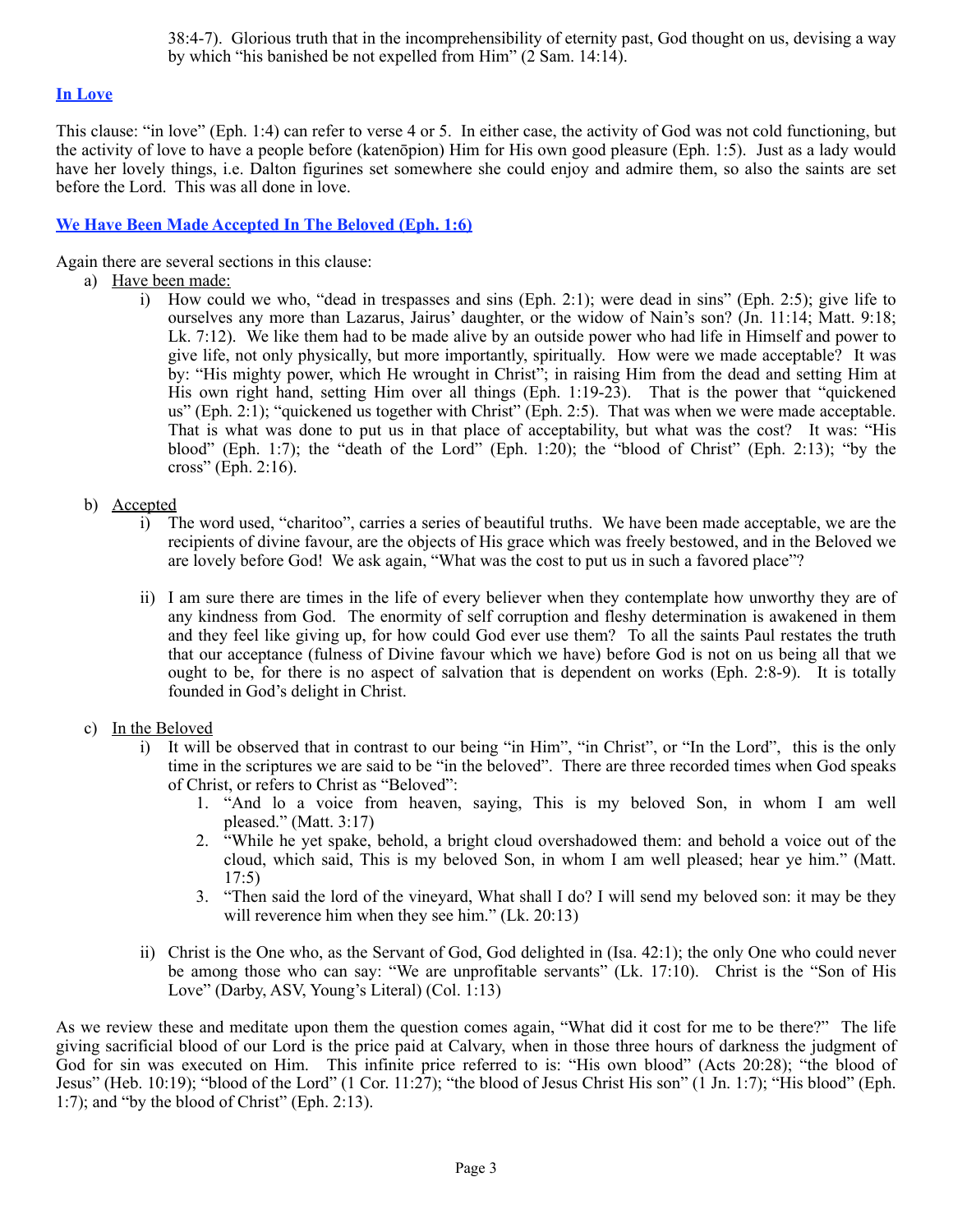38:4-7). Glorious truth that in the incomprehensibility of eternity past, God thought on us, devising a way by which "his banished be not expelled from Him" (2 Sam. 14:14).

# **In Love**

This clause: "in love" (Eph. 1:4) can refer to verse 4 or 5. In either case, the activity of God was not cold functioning, but the activity of love to have a people before (katenōpion) Him for His own good pleasure (Eph. 1:5). Just as a lady would have her lovely things, i.e. Dalton figurines set somewhere she could enjoy and admire them, so also the saints are set before the Lord. This was all done in love.

# **We Have Been Made Accepted In The Beloved (Eph. 1:6)**

Again there are several sections in this clause:

- a) Have been made:
	- i) How could we who, "dead in trespasses and sins (Eph. 2:1); were dead in sins" (Eph. 2:5); give life to ourselves any more than Lazarus, Jairus' daughter, or the widow of Nain's son? (Jn. 11:14; Matt. 9:18; Lk. 7:12). We like them had to be made alive by an outside power who had life in Himself and power to give life, not only physically, but more importantly, spiritually. How were we made acceptable? It was by: "His mighty power, which He wrought in Christ"; in raising Him from the dead and setting Him at His own right hand, setting Him over all things (Eph. 1:19-23). That is the power that "quickened us" (Eph. 2:1); "quickened us together with Christ" (Eph. 2:5). That was when we were made acceptable. That is what was done to put us in that place of acceptability, but what was the cost? It was: "His blood" (Eph. 1:7); the "death of the Lord" (Eph. 1:20); the "blood of Christ" (Eph. 2:13); "by the cross" (Eph. 2:16).

# b) Accepted

- i) The word used, "charitoo", carries a series of beautiful truths. We have been made acceptable, we are the recipients of divine favour, are the objects of His grace which was freely bestowed, and in the Beloved we are lovely before God! We ask again, "What was the cost to put us in such a favored place"?
- ii) I am sure there are times in the life of every believer when they contemplate how unworthy they are of any kindness from God. The enormity of self corruption and fleshy determination is awakened in them and they feel like giving up, for how could God ever use them? To all the saints Paul restates the truth that our acceptance (fulness of Divine favour which we have) before God is not on us being all that we ought to be, for there is no aspect of salvation that is dependent on works (Eph. 2:8-9). It is totally founded in God's delight in Christ.

### c) In the Beloved

- i) It will be observed that in contrast to our being "in Him", "in Christ", or "In the Lord", this is the only time in the scriptures we are said to be "in the beloved". There are three recorded times when God speaks of Christ, or refers to Christ as "Beloved":
	- 1. "And lo a voice from heaven, saying, This is my beloved Son, in whom I am well pleased." (Matt. 3:17)
	- 2. "While he yet spake, behold, a bright cloud overshadowed them: and behold a voice out of the cloud, which said, This is my beloved Son, in whom I am well pleased; hear ye him." (Matt.  $17:5)$
	- 3. "Then said the lord of the vineyard, What shall I do? I will send my beloved son: it may be they will reverence him when they see him." (Lk. 20:13)
- ii) Christ is the One who, as the Servant of God, God delighted in (Isa. 42:1); the only One who could never be among those who can say: "We are unprofitable servants" (Lk. 17:10). Christ is the "Son of His Love" (Darby, ASV, Young's Literal) (Col. 1:13)

As we review these and meditate upon them the question comes again, "What did it cost for me to be there?" The life giving sacrificial blood of our Lord is the price paid at Calvary, when in those three hours of darkness the judgment of God for sin was executed on Him. This infinite price referred to is: "His own blood" (Acts 20:28); "the blood of Jesus" (Heb. 10:19); "blood of the Lord" (1 Cor. 11:27); "the blood of Jesus Christ His son" (1 Jn. 1:7); "His blood" (Eph. 1:7); and "by the blood of Christ" (Eph. 2:13).